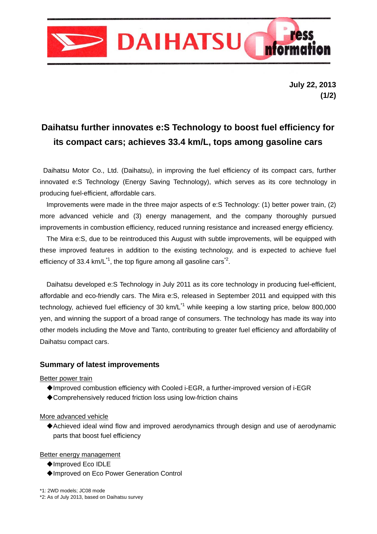

**July 22, 2013 (1/2)** 

# **Daihatsu further innovates e:S Technology to boost fuel efficiency for its compact cars; achieves 33.4 km/L, tops among gasoline cars**

 Daihatsu Motor Co., Ltd. (Daihatsu), in improving the fuel efficiency of its compact cars, further innovated e:S Technology (Energy Saving Technology), which serves as its core technology in producing fuel-efficient, affordable cars.

 Improvements were made in the three major aspects of e:S Technology: (1) better power train, (2) more advanced vehicle and (3) energy management, and the company thoroughly pursued improvements in combustion efficiency, reduced running resistance and increased energy efficiency.

 The Mira e:S, due to be reintroduced this August with subtle improvements, will be equipped with these improved features in addition to the existing technology, and is expected to achieve fuel efficiency of 33.4 km/L<sup>\*1</sup>, the top figure among all gasoline cars<sup>\*2</sup>.

 Daihatsu developed e:S Technology in July 2011 as its core technology in producing fuel-efficient, affordable and eco-friendly cars. The Mira e:S, released in September 2011 and equipped with this technology, achieved fuel efficiency of 30 km/ $L<sup>11</sup>$  while keeping a low starting price, below 800,000 yen, and winning the support of a broad range of consumers. The technology has made its way into other models including the Move and Tanto, contributing to greater fuel efficiency and affordability of Daihatsu compact cars.

#### **Summary of latest improvements**

Better power train

- ◆Improved combustion efficiency with Cooled i-EGR, a further-improved version of i-EGR
- ◆Comprehensively reduced friction loss using low-friction chains

More advanced vehicle

◆Achieved ideal wind flow and improved aerodynamics through design and use of aerodynamic parts that boost fuel efficiency

Better energy management

- ◆Improved Eco IDLE
- ◆Improved on Eco Power Generation Control

\*1: 2WD models; JC08 mode \*2: As of July 2013, based on Daihatsu survey